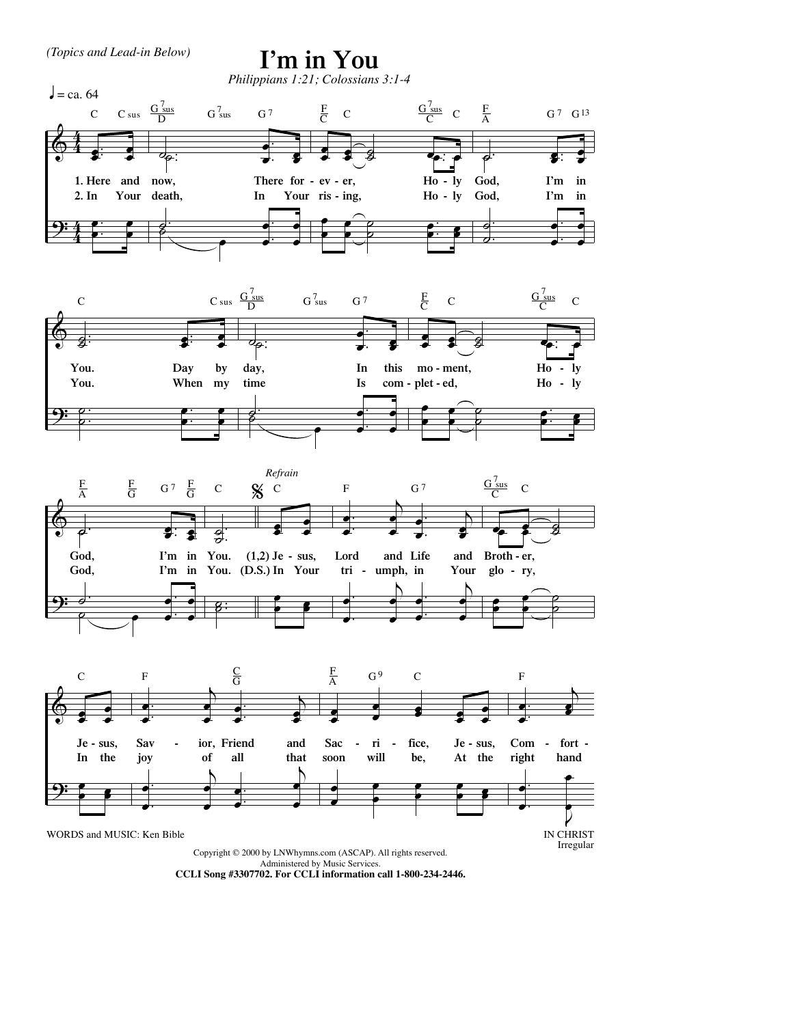

## I'm in You









Copyright © 2000 by LNWhymns.com (ASCAP). All rights reserved. Administered by Music Services.

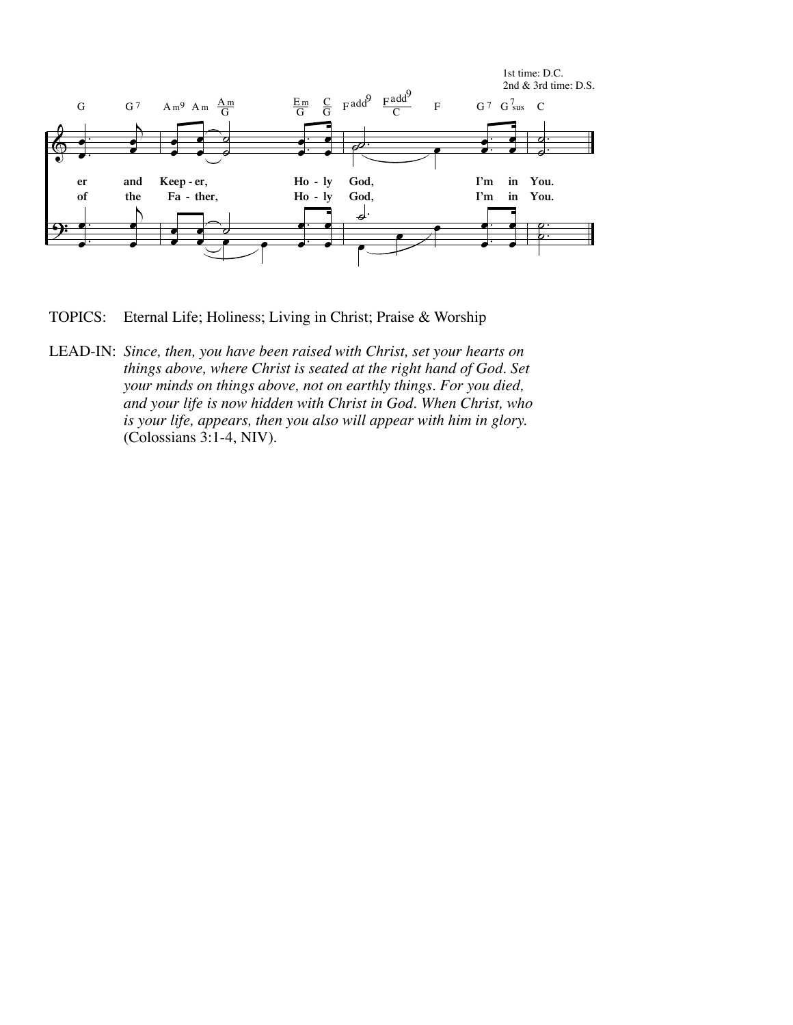

**TOPICS:** Eternal Life; Holiness; Living in Christ; Praise & Worship

LEAD-IN: Since, then, you have been raised with Christ, set your hearts on things above, where Christ is seated at the right hand of God. Set your minds on things above, not on earthly things. For you died, and your life is now hidden with Christ in God. When Christ, who is your life, appears, then you also will appear with him in glory. (Colossians 3:1-4, NIV).